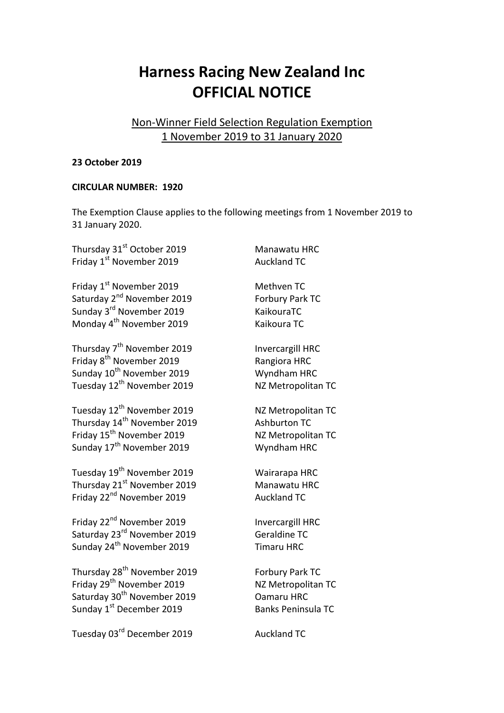## **Harness Racing New Zealand Inc OFFICIAL NOTICE**

## Non-Winner Field Selection Regulation Exemption 1 November 2019 to 31 January 2020

## **23 October 2019**

## **CIRCULAR NUMBER: 1920**

The Exemption Clause applies to the following meetings from 1 November 2019 to 31 January 2020.

| Thursday 31 <sup>st</sup> October 2019  | Manawatu HRC              |
|-----------------------------------------|---------------------------|
| Friday 1st November 2019                | <b>Auckland TC</b>        |
| Friday 1 <sup>st</sup> November 2019    | Methven TC                |
| Saturday 2 <sup>nd</sup> November 2019  | Forbury Park TC           |
| Sunday 3rd November 2019                | KaikouraTC                |
| Monday 4 <sup>th</sup> November 2019    | Kaikoura TC               |
| Thursday 7 <sup>th</sup> November 2019  | <b>Invercargill HRC</b>   |
| Friday 8 <sup>th</sup> November 2019    | Rangiora HRC              |
| Sunday 10 <sup>th</sup> November 2019   | Wyndham HRC               |
| Tuesday 12 <sup>th</sup> November 2019  | NZ Metropolitan TC        |
| Tuesday 12 <sup>th</sup> November 2019  | NZ Metropolitan TC        |
| Thursday 14 <sup>th</sup> November 2019 | <b>Ashburton TC</b>       |
| Friday 15 <sup>th</sup> November 2019   | NZ Metropolitan TC        |
| Sunday 17 <sup>th</sup> November 2019   | Wyndham HRC               |
| Tuesday 19 <sup>th</sup> November 2019  | Wairarapa HRC             |
| Thursday 21 <sup>st</sup> November 2019 | Manawatu HRC              |
| Friday 22 <sup>nd</sup> November 2019   | <b>Auckland TC</b>        |
| Friday 22 <sup>nd</sup> November 2019   | <b>Invercargill HRC</b>   |
| Saturday 23 <sup>rd</sup> November 2019 | <b>Geraldine TC</b>       |
| Sunday 24 <sup>th</sup> November 2019   | <b>Timaru HRC</b>         |
| Thursday 28 <sup>th</sup> November 2019 | Forbury Park TC           |
| Friday 29 <sup>th</sup> November 2019   | NZ Metropolitan TC        |
| Saturday 30 <sup>th</sup> November 2019 | Oamaru HRC                |
| Sunday 1st December 2019                | <b>Banks Peninsula TC</b> |
| Tuesday 03 <sup>rd</sup> December 2019  | <b>Auckland TC</b>        |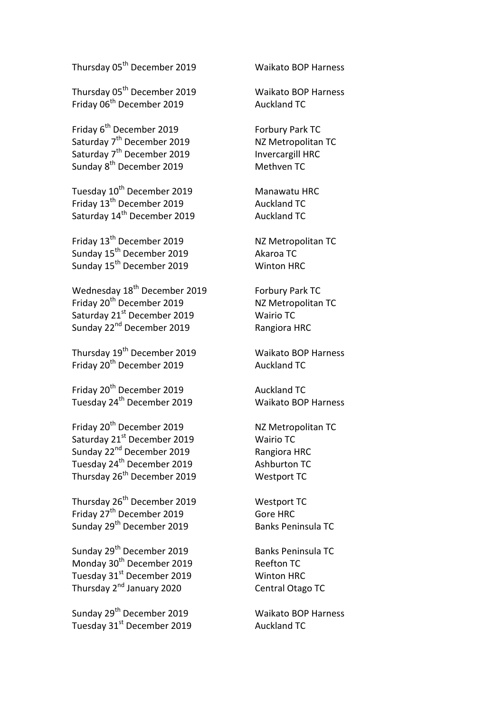Thursday 05th December 2019 Waikato BOP Harness

Thursday 05th December 2019 Waikato BOP Harness Friday 06<sup>th</sup> December 2019 **Auckland TC** 

Friday 6<sup>th</sup> December 2019 **Forbury Park TC** Saturday 7<sup>th</sup> December 2019 **NZ Metropolitan TC** Saturday 7<sup>th</sup> December 2019 **Invercargill HRC** Sunday 8<sup>th</sup> December 2019 **Methven** TC

Tuesday 10<sup>th</sup> December 2019 **Manawatu HRC** Friday 13<sup>th</sup> December 2019 **Auckland TC** Saturday 14<sup>th</sup> December 2019 **Auckland TC** 

Friday 13<sup>th</sup> December 2019 **NZ Metropolitan TC** Sunday 15th December 2019 Akaroa TC Sunday 15<sup>th</sup> December 2019 **Minton HRC** 

Wednesday 18<sup>th</sup> December 2019 **Forbury Park TC** Friday 20<sup>th</sup> December 2019 Saturday 21<sup>st</sup> December 2019 **Manual Victor** Wairio TC Sunday 22<sup>nd</sup> December 2019 **Rangiora HRC** 

Thursday 19th December 2019 Waikato BOP Harness Friday 20<sup>th</sup> December 2019 **Auckland TC** 

Friday 20<sup>th</sup> December 2019 **Auckland TC** Tuesday 24th December 2019 Waikato BOP Harness

Friday 20<sup>th</sup> December 2019 **NZ Metropolitan TC** Saturday 21<sup>st</sup> December 2019 **Manual Victor** Wairio TC Sunday 22<sup>nd</sup> December 2019 Rangiora HRC Tuesday 24<sup>th</sup> December 2019 **Ashburton TC** Thursday 26<sup>th</sup> December 2019 Westport TC

Thursday 26<sup>th</sup> December 2019 Westport TC Friday 27<sup>th</sup> December 2019 **Gore HRC** Sunday 29<sup>th</sup> December 2019 Banks Peninsula TC

Sunday 29<sup>th</sup> December 2019 Banks Peninsula TC Monday 30<sup>th</sup> December 2019 Reefton TC Tuesday 31<sup>st</sup> December 2019 Winton HRC Thursday 2nd January 2020 Central Otago TC

Sunday 29<sup>th</sup> December 2019 **Maikato BOP Harness** Tuesday 31<sup>st</sup> December 2019 Auckland TC

NZ Metropolitan TC